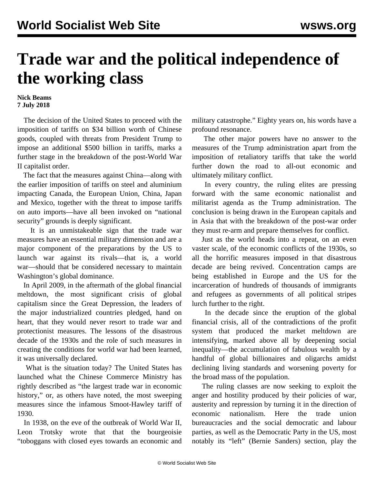## **Trade war and the political independence of the working class**

## **Nick Beams 7 July 2018**

 The decision of the United States to proceed with the imposition of tariffs on \$34 billion worth of Chinese goods, coupled with threats from President Trump to impose an additional \$500 billion in tariffs, marks a further stage in the breakdown of the post-World War II capitalist order.

 The fact that the measures against China—along with the earlier imposition of tariffs on steel and aluminium impacting Canada, the European Union, China, Japan and Mexico, together with the threat to impose tariffs on auto imports—have all been invoked on "national security" grounds is deeply significant.

 It is an unmistakeable sign that the trade war measures have an essential military dimension and are a major component of the preparations by the US to launch war against its rivals—that is, a world war—should that be considered necessary to maintain Washington's global dominance.

 In April 2009, in the aftermath of the global financial meltdown, the most significant crisis of global capitalism since the Great Depression, the leaders of the major industrialized countries pledged, hand on heart, that they would never resort to trade war and protectionist measures. The lessons of the disastrous decade of the 1930s and the role of such measures in creating the conditions for world war had been learned, it was universally declared.

 What is the situation today? The United States has launched what the Chinese Commerce Ministry has rightly described as "the largest trade war in economic history," or, as others have noted, the most sweeping measures since the infamous Smoot-Hawley tariff of 1930.

 In 1938, on the eve of the outbreak of World War II, Leon Trotsky wrote that that the bourgeoisie "toboggans with closed eyes towards an economic and military catastrophe." Eighty years on, his words have a profound resonance.

 The other major powers have no answer to the measures of the Trump administration apart from the imposition of retaliatory tariffs that take the world further down the road to all-out economic and ultimately military conflict.

 In every country, the ruling elites are pressing forward with the same economic nationalist and militarist agenda as the Trump administration. The conclusion is being drawn in the European capitals and in Asia that with the breakdown of the post-war order they must re-arm and prepare themselves for conflict.

 Just as the world heads into a repeat, on an even vaster scale, of the economic conflicts of the 1930s, so all the horrific measures imposed in that disastrous decade are being revived. Concentration camps are being established in Europe and the US for the incarceration of hundreds of thousands of immigrants and refugees as governments of all political stripes lurch further to the right.

 In the decade since the eruption of the global financial crisis, all of the contradictions of the profit system that produced the market meltdown are intensifying, marked above all by deepening social inequality—the accumulation of fabulous wealth by a handful of global billionaires and oligarchs amidst declining living standards and worsening poverty for the broad mass of the population.

 The ruling classes are now seeking to exploit the anger and hostility produced by their policies of war, austerity and repression by turning it in the direction of economic nationalism. Here the trade union bureaucracies and the social democratic and labour parties, as well as the Democratic Party in the US, most notably its "left" (Bernie Sanders) section, play the